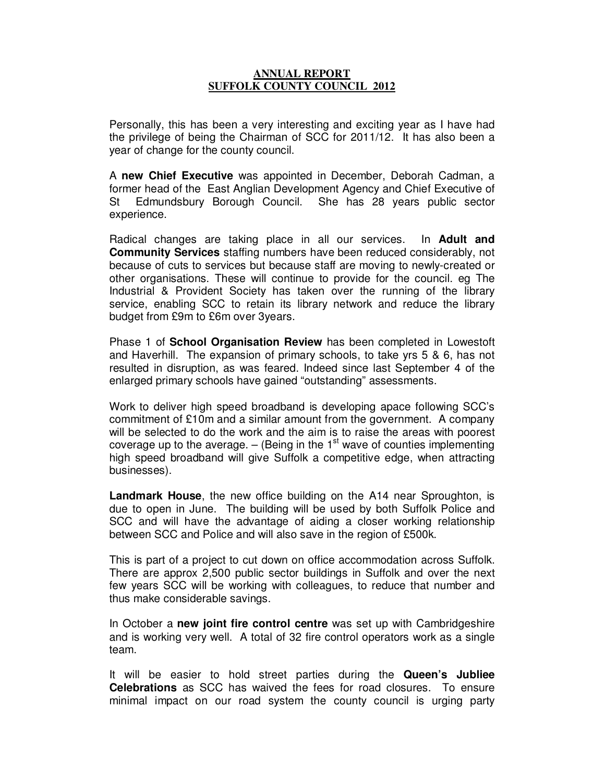## **ANNUAL REPORT SUFFOLK COUNTY COUNCIL 2012**

Personally, this has been a very interesting and exciting year as I have had the privilege of being the Chairman of SCC for 2011/12. It has also been a year of change for the county council.

A **new Chief Executive** was appointed in December, Deborah Cadman, a former head of the East Anglian Development Agency and Chief Executive of St Edmundsbury Borough Council. She has 28 years public sector experience.

Radical changes are taking place in all our services. In **Adult and Community Services** staffing numbers have been reduced considerably, not because of cuts to services but because staff are moving to newly-created or other organisations. These will continue to provide for the council. eg The Industrial & Provident Society has taken over the running of the library service, enabling SCC to retain its library network and reduce the library budget from £9m to £6m over 3years.

Phase 1 of **School Organisation Review** has been completed in Lowestoft and Haverhill. The expansion of primary schools, to take yrs 5 & 6, has not resulted in disruption, as was feared. Indeed since last September 4 of the enlarged primary schools have gained "outstanding" assessments.

Work to deliver high speed broadband is developing apace following SCC's commitment of £10m and a similar amount from the government. A company will be selected to do the work and the aim is to raise the areas with poorest coverage up to the average.  $-$  (Being in the 1<sup>st</sup> wave of counties implementing high speed broadband will give Suffolk a competitive edge, when attracting businesses).

**Landmark House**, the new office building on the A14 near Sproughton, is due to open in June. The building will be used by both Suffolk Police and SCC and will have the advantage of aiding a closer working relationship between SCC and Police and will also save in the region of £500k.

This is part of a project to cut down on office accommodation across Suffolk. There are approx 2,500 public sector buildings in Suffolk and over the next few years SCC will be working with colleagues, to reduce that number and thus make considerable savings.

In October a **new joint fire control centre** was set up with Cambridgeshire and is working very well. A total of 32 fire control operators work as a single team.

It will be easier to hold street parties during the **Queen's Jubliee Celebrations** as SCC has waived the fees for road closures. To ensure minimal impact on our road system the county council is urging party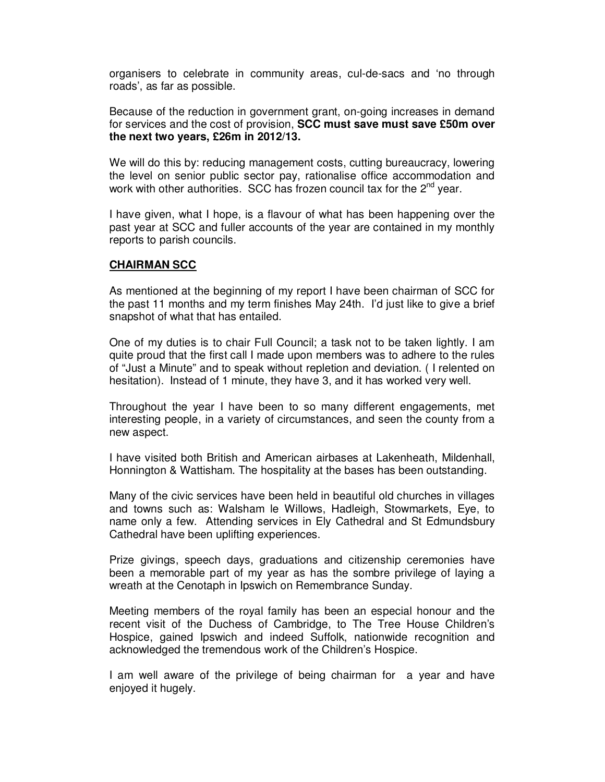organisers to celebrate in community areas, cul-de-sacs and 'no through roads', as far as possible.

Because of the reduction in government grant, on-going increases in demand for services and the cost of provision, **SCC must save must save £50m over the next two years, £26m in 2012/13.** 

We will do this by: reducing management costs, cutting bureaucracy, lowering the level on senior public sector pay, rationalise office accommodation and work with other authorities. SCC has frozen council tax for the  $2^{nd}$  year.

I have given, what I hope, is a flavour of what has been happening over the past year at SCC and fuller accounts of the year are contained in my monthly reports to parish councils.

## **CHAIRMAN SCC**

As mentioned at the beginning of my report I have been chairman of SCC for the past 11 months and my term finishes May 24th. I'd just like to give a brief snapshot of what that has entailed.

One of my duties is to chair Full Council; a task not to be taken lightly. I am quite proud that the first call I made upon members was to adhere to the rules of "Just a Minute" and to speak without repletion and deviation. ( I relented on hesitation). Instead of 1 minute, they have 3, and it has worked very well.

Throughout the year I have been to so many different engagements, met interesting people, in a variety of circumstances, and seen the county from a new aspect.

I have visited both British and American airbases at Lakenheath, Mildenhall, Honnington & Wattisham. The hospitality at the bases has been outstanding.

Many of the civic services have been held in beautiful old churches in villages and towns such as: Walsham le Willows, Hadleigh, Stowmarkets, Eye, to name only a few. Attending services in Ely Cathedral and St Edmundsbury Cathedral have been uplifting experiences.

Prize givings, speech days, graduations and citizenship ceremonies have been a memorable part of my year as has the sombre privilege of laying a wreath at the Cenotaph in Ipswich on Remembrance Sunday.

Meeting members of the royal family has been an especial honour and the recent visit of the Duchess of Cambridge, to The Tree House Children's Hospice, gained Ipswich and indeed Suffolk, nationwide recognition and acknowledged the tremendous work of the Children's Hospice.

I am well aware of the privilege of being chairman for a year and have enjoyed it hugely.